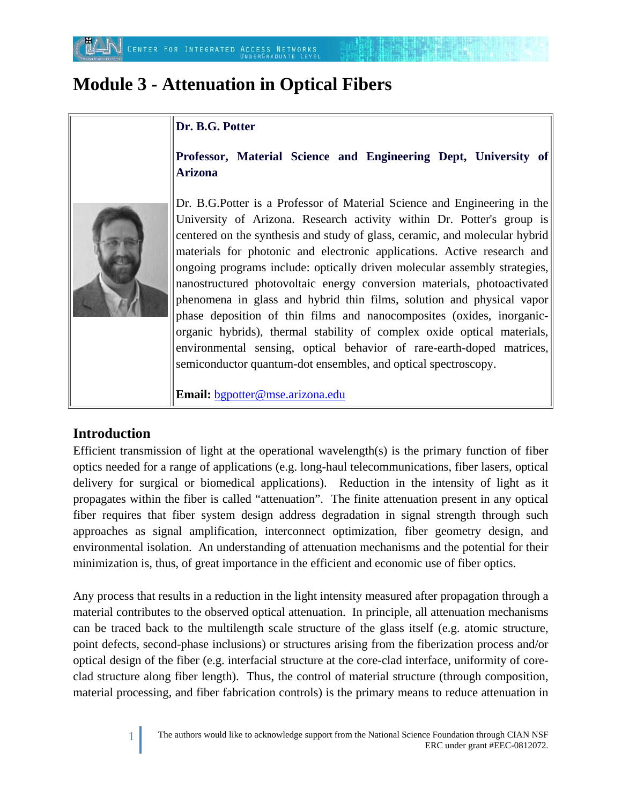# **Module 3 - Attenuation in Optical Fibers**

## **Dr. B.G. Potter**

**Professor, Material Science and Engineering Dept, University of Arizona**



Dr. B.G.Potter is a Professor of Material Science and Engineering in the University of Arizona. Research activity within Dr. Potter's group is centered on the synthesis and study of glass, ceramic, and molecular hybrid materials for photonic and electronic applications. Active research and ongoing programs include: optically driven molecular assembly strategies, nanostructured photovoltaic energy conversion materials, photoactivated phenomena in glass and hybrid thin films, solution and physical vapor phase deposition of thin films and nanocomposites (oxides, inorganicorganic hybrids), thermal stability of complex oxide optical materials, environmental sensing, optical behavior of rare-earth-doped matrices, semiconductor quantum-dot ensembles, and optical spectroscopy.

**Email:** [bgpotter@mse.arizona.edu](mailto:bgpotter@mse.arizona.edu)

## **Introduction**

Efficient transmission of light at the operational wavelength(s) is the primary function of fiber optics needed for a range of applications (e.g. long-haul telecommunications, fiber lasers, optical delivery for surgical or biomedical applications). Reduction in the intensity of light as it propagates within the fiber is called "attenuation". The finite attenuation present in any optical fiber requires that fiber system design address degradation in signal strength through such approaches as signal amplification, interconnect optimization, fiber geometry design, and environmental isolation. An understanding of attenuation mechanisms and the potential for their minimization is, thus, of great importance in the efficient and economic use of fiber optics.

Any process that results in a reduction in the light intensity measured after propagation through a material contributes to the observed optical attenuation. In principle, all attenuation mechanisms can be traced back to the multilength scale structure of the glass itself (e.g. atomic structure, point defects, second-phase inclusions) or structures arising from the fiberization process and/or optical design of the fiber (e.g. interfacial structure at the core-clad interface, uniformity of coreclad structure along fiber length). Thus, the control of material structure (through composition, material processing, and fiber fabrication controls) is the primary means to reduce attenuation in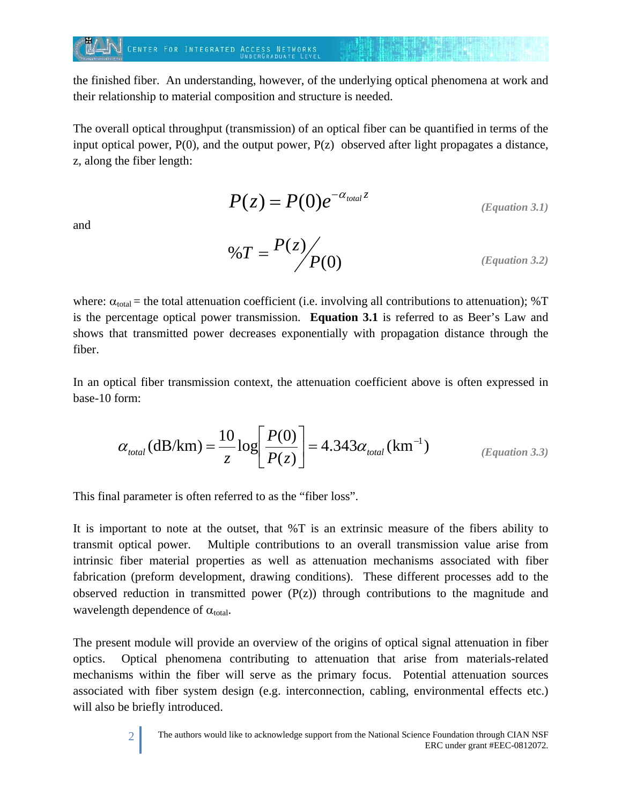#### CENTER FOR INTEGRATED ACCESS NETWORKS

the finished fiber. An understanding, however, of the underlying optical phenomena at work and their relationship to material composition and structure is needed.

The overall optical throughput (transmission) of an optical fiber can be quantified in terms of the input optical power,  $P(0)$ , and the output power,  $P(z)$  observed after light propagates a distance, z, along the fiber length:

$$
P(z) = P(0)e^{-\alpha_{total}z}
$$
 (Equation 3.1)

and

$$
\%T = \frac{P(z)}{P(0)} \tag{Equation 3.2}
$$

where:  $\alpha_{\text{total}}$  = the total attenuation coefficient (i.e. involving all contributions to attenuation); %T is the percentage optical power transmission. **Equation 3.1** is referred to as Beer's Law and shows that transmitted power decreases exponentially with propagation distance through the fiber.

In an optical fiber transmission context, the attenuation coefficient above is often expressed in base-10 form:

$$
\alpha_{\text{total}}(\text{dB/km}) = \frac{10}{z} \log \left[ \frac{P(0)}{P(z)} \right] = 4.343 \alpha_{\text{total}}(\text{km}^{-1})
$$
\n(Equation 3.3)

This final parameter is often referred to as the "fiber loss".

It is important to note at the outset, that %T is an extrinsic measure of the fibers ability to transmit optical power. Multiple contributions to an overall transmission value arise from intrinsic fiber material properties as well as attenuation mechanisms associated with fiber fabrication (preform development, drawing conditions). These different processes add to the observed reduction in transmitted power  $(P(z))$  through contributions to the magnitude and wavelength dependence of  $\alpha_{\text{total}}$ .

The present module will provide an overview of the origins of optical signal attenuation in fiber optics. Optical phenomena contributing to attenuation that arise from materials-related mechanisms within the fiber will serve as the primary focus. Potential attenuation sources associated with fiber system design (e.g. interconnection, cabling, environmental effects etc.) will also be briefly introduced.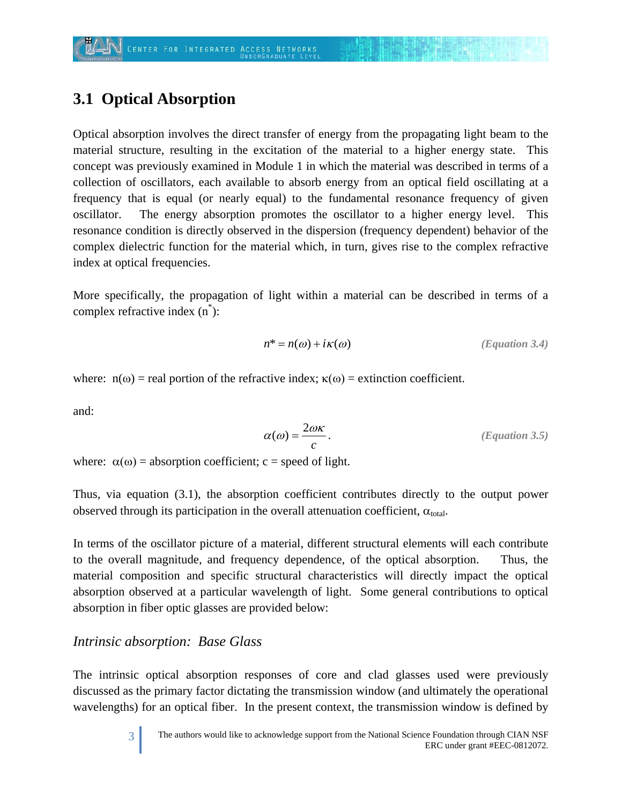# **3.1 Optical Absorption**

Optical absorption involves the direct transfer of energy from the propagating light beam to the material structure, resulting in the excitation of the material to a higher energy state. This concept was previously examined in Module 1 in which the material was described in terms of a collection of oscillators, each available to absorb energy from an optical field oscillating at a frequency that is equal (or nearly equal) to the fundamental resonance frequency of given oscillator. The energy absorption promotes the oscillator to a higher energy level. This resonance condition is directly observed in the dispersion (frequency dependent) behavior of the complex dielectric function for the material which, in turn, gives rise to the complex refractive index at optical frequencies.

More specifically, the propagation of light within a material can be described in terms of a complex refractive index (n\* ):

$$
n^* = n(\omega) + i\kappa(\omega)
$$
 (Equation 3.4)

where:  $n(\omega)$  = real portion of the refractive index;  $\kappa(\omega)$  = extinction coefficient.

and:

$$
\alpha(\omega) = \frac{2\omega\kappa}{c}.
$$
 (Equation 3.5)

where:  $\alpha(\omega)$  = absorption coefficient; c = speed of light.

Thus, via equation (3.1), the absorption coefficient contributes directly to the output power observed through its participation in the overall attenuation coefficient,  $\alpha_{total}$ .

In terms of the oscillator picture of a material, different structural elements will each contribute to the overall magnitude, and frequency dependence, of the optical absorption. Thus, the material composition and specific structural characteristics will directly impact the optical absorption observed at a particular wavelength of light. Some general contributions to optical absorption in fiber optic glasses are provided below:

## *Intrinsic absorption: Base Glass*

The intrinsic optical absorption responses of core and clad glasses used were previously discussed as the primary factor dictating the transmission window (and ultimately the operational wavelengths) for an optical fiber. In the present context, the transmission window is defined by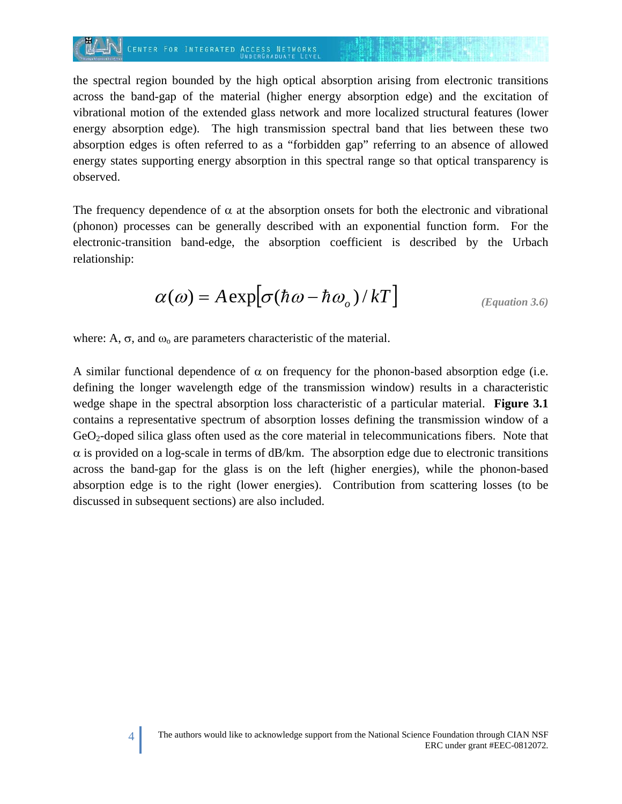## CENTER FOR INTEGRATED ACCESS NETWORKS

the spectral region bounded by the high optical absorption arising from electronic transitions across the band-gap of the material (higher energy absorption edge) and the excitation of vibrational motion of the extended glass network and more localized structural features (lower energy absorption edge). The high transmission spectral band that lies between these two absorption edges is often referred to as a "forbidden gap" referring to an absence of allowed energy states supporting energy absorption in this spectral range so that optical transparency is observed.

The frequency dependence of  $\alpha$  at the absorption onsets for both the electronic and vibrational (phonon) processes can be generally described with an exponential function form. For the electronic-transition band-edge, the absorption coefficient is described by the Urbach relationship:

$$
\alpha(\omega) = A \exp[\sigma(\hbar\omega - \hbar\omega_o)/kT] \qquad \qquad (Equation 3.6)
$$

where: A,  $\sigma$ , and  $\omega_0$  are parameters characteristic of the material.

A similar functional dependence of  $\alpha$  on frequency for the phonon-based absorption edge (i.e. defining the longer wavelength edge of the transmission window) results in a characteristic wedge shape in the spectral absorption loss characteristic of a particular material. **Figure 3.1**  contains a representative spectrum of absorption losses defining the transmission window of a GeO2-doped silica glass often used as the core material in telecommunications fibers. Note that  $\alpha$  is provided on a log-scale in terms of dB/km. The absorption edge due to electronic transitions across the band-gap for the glass is on the left (higher energies), while the phonon-based absorption edge is to the right (lower energies). Contribution from scattering losses (to be discussed in subsequent sections) are also included.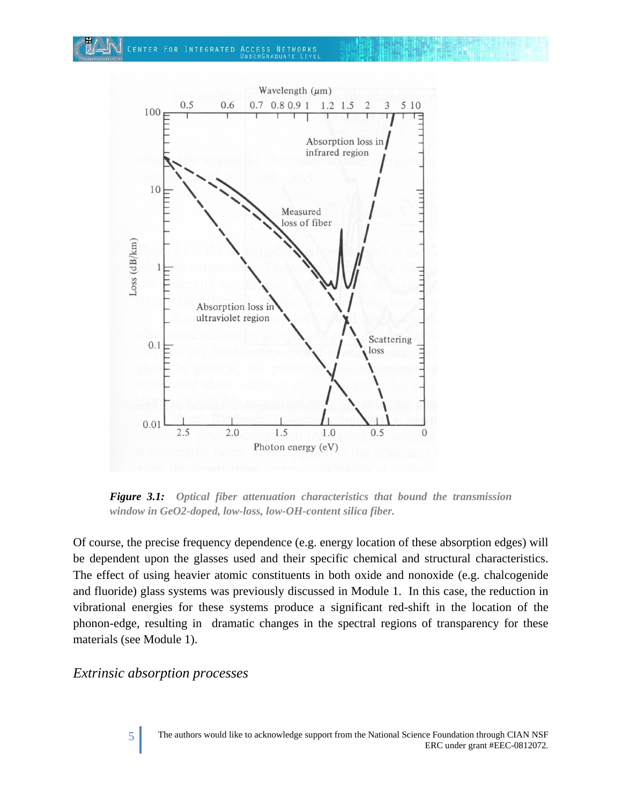

*Figure 3.1: Optical fiber attenuation characteristics that bound the transmission window in GeO2-doped, low-loss, low-OH-content silica fiber.*

Of course, the precise frequency dependence (e.g. energy location of these absorption edges) will be dependent upon the glasses used and their specific chemical and structural characteristics. The effect of using heavier atomic constituents in both oxide and nonoxide (e.g. chalcogenide and fluoride) glass systems was previously discussed in Module 1. In this case, the reduction in vibrational energies for these systems produce a significant red-shift in the location of the phonon-edge, resulting in dramatic changes in the spectral regions of transparency for these materials (see Module 1).

#### *Extrinsic absorption processes*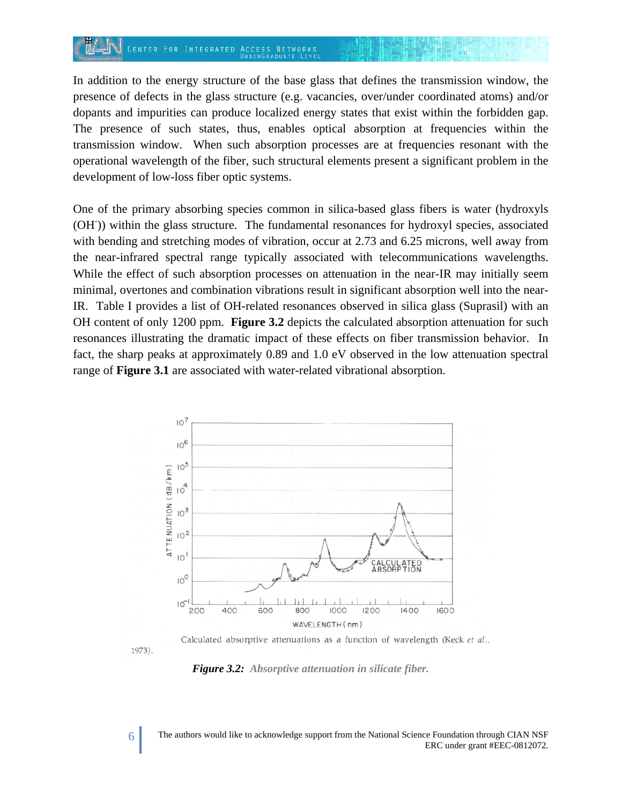#### CENTER FOR INTEGRATED **ACCESS NETWORKS**

In addition to the energy structure of the base glass that defines the transmission window, the presence of defects in the glass structure (e.g. vacancies, over/under coordinated atoms) and/or dopants and impurities can produce localized energy states that exist within the forbidden gap. The presence of such states, thus, enables optical absorption at frequencies within the transmission window. When such absorption processes are at frequencies resonant with the operational wavelength of the fiber, such structural elements present a significant problem in the development of low-loss fiber optic systems.

One of the primary absorbing species common in silica-based glass fibers is water (hydroxyls (OH)) within the glass structure. The fundamental resonances for hydroxyl species, associated with bending and stretching modes of vibration, occur at 2.73 and 6.25 microns, well away from the near-infrared spectral range typically associated with telecommunications wavelengths. While the effect of such absorption processes on attenuation in the near-IR may initially seem minimal, overtones and combination vibrations result in significant absorption well into the near-IR. Table I provides a list of OH-related resonances observed in silica glass (Suprasil) with an OH content of only 1200 ppm. **Figure 3.2** depicts the calculated absorption attenuation for such resonances illustrating the dramatic impact of these effects on fiber transmission behavior. In fact, the sharp peaks at approximately 0.89 and 1.0 eV observed in the low attenuation spectral range of **Figure 3.1** are associated with water-related vibrational absorption.



Calculated absorptive attenuations as a function of wavelength (Keck et al., 1973).

*Figure 3.2: Absorptive attenuation in silicate fiber.*

6 The authors would like to acknowledge support from the National Science Foundation through CIAN NSF ERC under grant #EEC-0812072.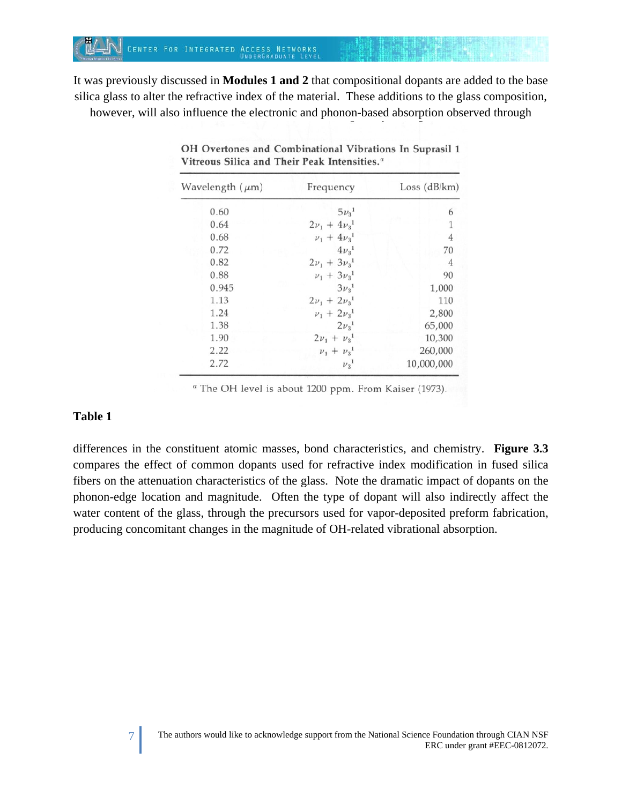It was previously discussed in **Modules 1 and 2** that compositional dopants are added to the base silica glass to alter the refractive index of the material. These additions to the glass composition, however, will also influence the electronic and phonon-based absorption observed through

| Wavelength $(\mu m)$ | Frequency                      | Loss (dB/km)   |
|----------------------|--------------------------------|----------------|
| 0.60                 | $5\nu_{3}^{1}$                 | 6              |
| 0.64                 | $2\nu_1 + 4\nu_3$ <sup>1</sup> | 1              |
| 0.68                 | $\nu_1 + 4\nu_3$ <sup>1</sup>  | $\overline{4}$ |
| 0.72                 | $4\nu_3$ <sup>1</sup>          | 70             |
| 0.82                 | $2\nu_1 + 3\nu_3$ <sup>1</sup> | 4              |
| 0.88                 | $\nu_1 + 3\nu_3$ <sup>1</sup>  | 90             |
| 0.945                | $3\nu_3$ <sup>1</sup>          | 1,000          |
| 1.13                 | $2\nu_1 + 2\nu_3$ <sup>1</sup> | 110            |
| 1.24                 | $\nu_1 + 2\nu_3$ <sup>1</sup>  | 2,800          |
| 1.38                 | $2\nu_3$ <sup>1</sup>          | 65,000         |
| 1.90                 | $2v_1 + v_3$ <sup>1</sup>      | 10,300         |
| 2.22                 | $\nu_1 + \nu_3$ <sup>1</sup>   | 260,000        |
| 2.72                 | $v_3$ <sup>1</sup>             | 10,000,000     |

|                                              |  | OH Overtones and Combinational Vibrations In Suprasil 1 |  |
|----------------------------------------------|--|---------------------------------------------------------|--|
| Vitreous Silica and Their Peak Intensities." |  |                                                         |  |

" The OH level is about 1200 ppm. From Kaiser (1973).

#### **Table 1**

differences in the constituent atomic masses, bond characteristics, and chemistry. **Figure 3.3** compares the effect of common dopants used for refractive index modification in fused silica fibers on the attenuation characteristics of the glass. Note the dramatic impact of dopants on the phonon-edge location and magnitude. Often the type of dopant will also indirectly affect the water content of the glass, through the precursors used for vapor-deposited preform fabrication, producing concomitant changes in the magnitude of OH-related vibrational absorption.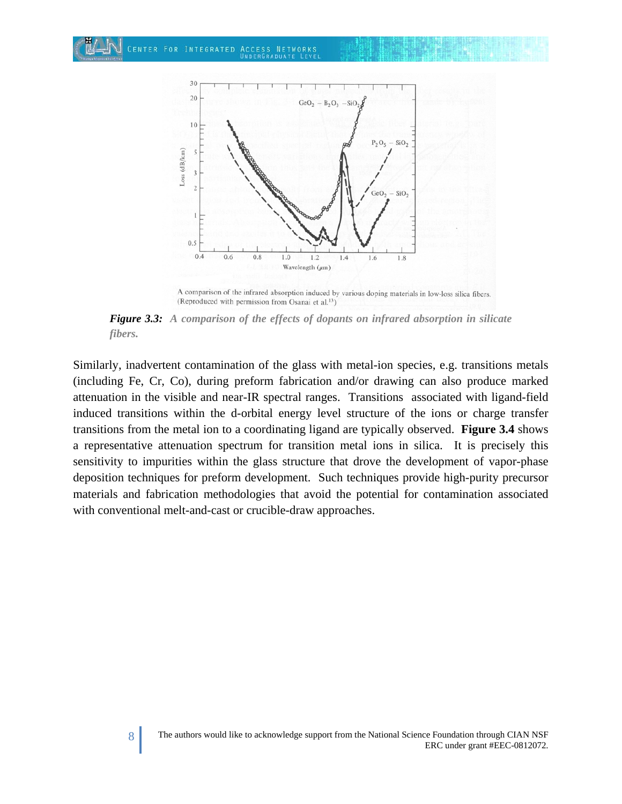

A comparison of the infrared absorption induced by various doping materials in low-loss silica fibers. (Reproduced with permission from Osanai et al.<sup>13</sup>)

*Figure 3.3: A comparison of the effects of dopants on infrared absorption in silicate fibers.*

Similarly, inadvertent contamination of the glass with metal-ion species, e.g. transitions metals (including Fe, Cr, Co), during preform fabrication and/or drawing can also produce marked attenuation in the visible and near-IR spectral ranges. Transitions associated with ligand-field induced transitions within the d-orbital energy level structure of the ions or charge transfer transitions from the metal ion to a coordinating ligand are typically observed. **Figure 3.4** shows a representative attenuation spectrum for transition metal ions in silica. It is precisely this sensitivity to impurities within the glass structure that drove the development of vapor-phase deposition techniques for preform development. Such techniques provide high-purity precursor materials and fabrication methodologies that avoid the potential for contamination associated with conventional melt-and-cast or crucible-draw approaches.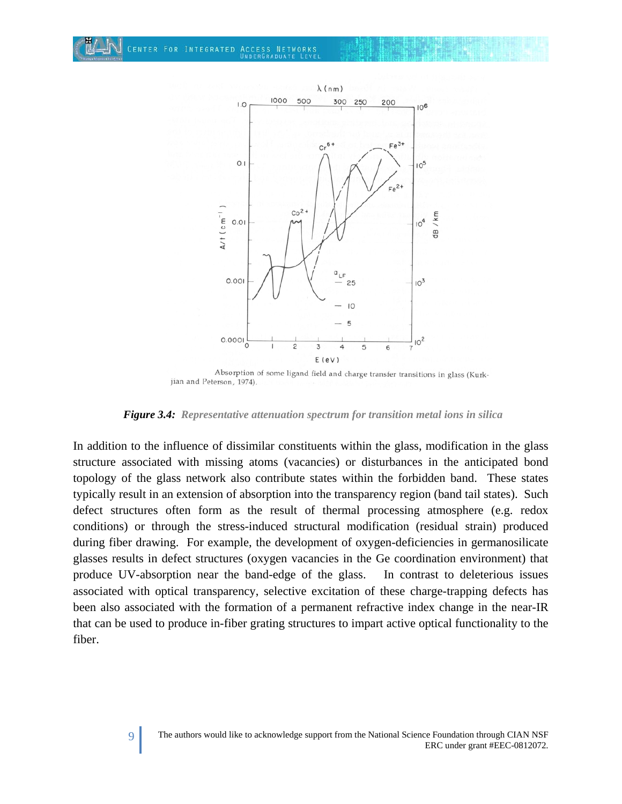CENTER FOR INTEGRATED ACCESS NETWORKS



Absorption of some ligand field and charge transfer transitions in glass (Kurkjian and Peterson, 1974).

*Figure 3.4: Representative attenuation spectrum for transition metal ions in silica*

In addition to the influence of dissimilar constituents within the glass, modification in the glass structure associated with missing atoms (vacancies) or disturbances in the anticipated bond topology of the glass network also contribute states within the forbidden band. These states typically result in an extension of absorption into the transparency region (band tail states). Such defect structures often form as the result of thermal processing atmosphere (e.g. redox conditions) or through the stress-induced structural modification (residual strain) produced during fiber drawing. For example, the development of oxygen-deficiencies in germanosilicate glasses results in defect structures (oxygen vacancies in the Ge coordination environment) that produce UV-absorption near the band-edge of the glass. In contrast to deleterious issues associated with optical transparency, selective excitation of these charge-trapping defects has been also associated with the formation of a permanent refractive index change in the near-IR that can be used to produce in-fiber grating structures to impart active optical functionality to the fiber.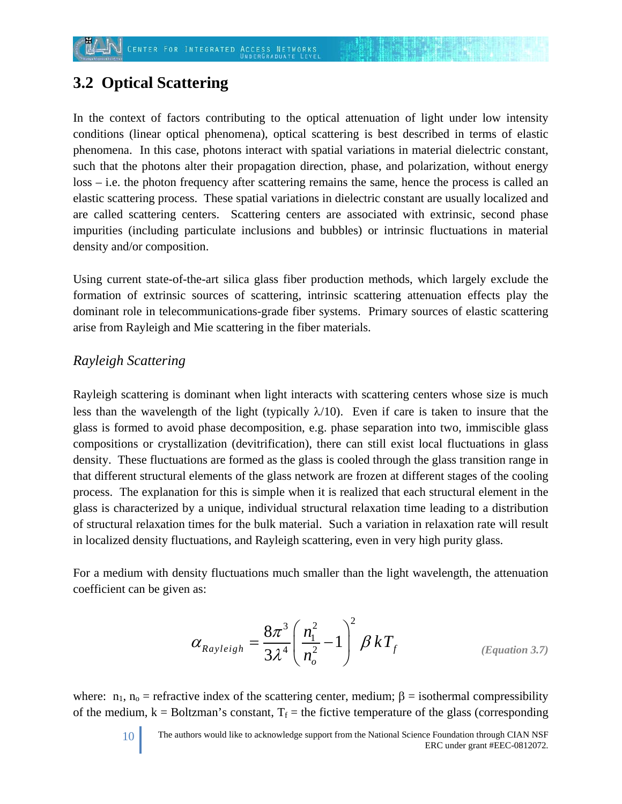# **3.2 Optical Scattering**

In the context of factors contributing to the optical attenuation of light under low intensity conditions (linear optical phenomena), optical scattering is best described in terms of elastic phenomena. In this case, photons interact with spatial variations in material dielectric constant, such that the photons alter their propagation direction, phase, and polarization, without energy loss – i.e. the photon frequency after scattering remains the same, hence the process is called an elastic scattering process. These spatial variations in dielectric constant are usually localized and are called scattering centers. Scattering centers are associated with extrinsic, second phase impurities (including particulate inclusions and bubbles) or intrinsic fluctuations in material density and/or composition.

Using current state-of-the-art silica glass fiber production methods, which largely exclude the formation of extrinsic sources of scattering, intrinsic scattering attenuation effects play the dominant role in telecommunications-grade fiber systems. Primary sources of elastic scattering arise from Rayleigh and Mie scattering in the fiber materials.

### *Rayleigh Scattering*

Rayleigh scattering is dominant when light interacts with scattering centers whose size is much less than the wavelength of the light (typically  $\lambda/10$ ). Even if care is taken to insure that the glass is formed to avoid phase decomposition, e.g. phase separation into two, immiscible glass compositions or crystallization (devitrification), there can still exist local fluctuations in glass density. These fluctuations are formed as the glass is cooled through the glass transition range in that different structural elements of the glass network are frozen at different stages of the cooling process. The explanation for this is simple when it is realized that each structural element in the glass is characterized by a unique, individual structural relaxation time leading to a distribution of structural relaxation times for the bulk material. Such a variation in relaxation rate will result in localized density fluctuations, and Rayleigh scattering, even in very high purity glass.

For a medium with density fluctuations much smaller than the light wavelength, the attenuation coefficient can be given as:

$$
\alpha_{Rayleigh} = \frac{8\pi^3}{3\lambda^4} \left(\frac{n_1^2}{n_o^2} - 1\right)^2 \beta kT_f
$$
 (Equation 3.7)

where:  $n_1$ ,  $n_0$  = refractive index of the scattering center, medium;  $\beta$  = isothermal compressibility of the medium,  $k = Boltzman's constant$ ,  $T_f$  = the fictive temperature of the glass (corresponding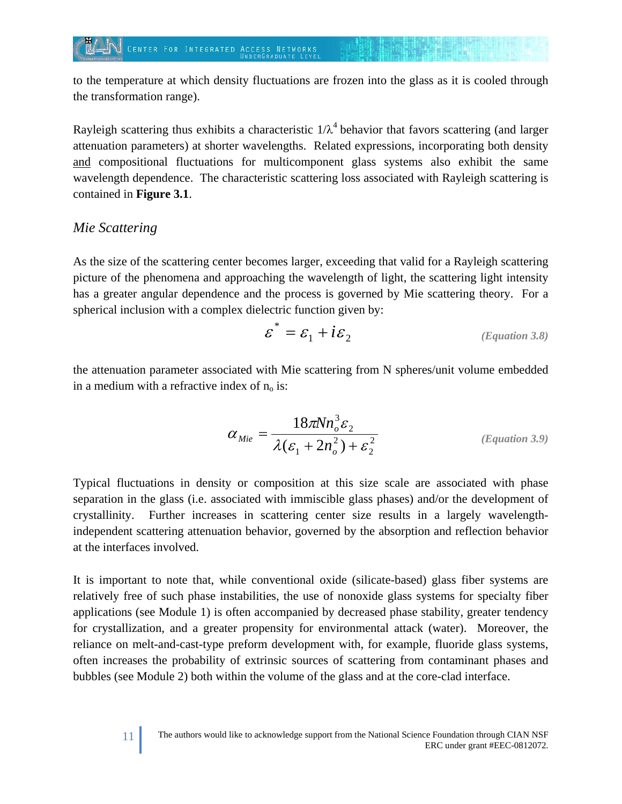to the temperature at which density fluctuations are frozen into the glass as it is cooled through the transformation range).

Rayleigh scattering thus exhibits a characteristic  $1/\lambda^4$  behavior that favors scattering (and larger attenuation parameters) at shorter wavelengths. Related expressions, incorporating both density and compositional fluctuations for multicomponent glass systems also exhibit the same wavelength dependence. The characteristic scattering loss associated with Rayleigh scattering is contained in **Figure 3.1**.

### *Mie Scattering*

As the size of the scattering center becomes larger, exceeding that valid for a Rayleigh scattering picture of the phenomena and approaching the wavelength of light, the scattering light intensity has a greater angular dependence and the process is governed by Mie scattering theory. For a spherical inclusion with a complex dielectric function given by:

$$
\varepsilon^* = \varepsilon_1 + i\varepsilon_2 \tag{Equation 3.8}
$$

the attenuation parameter associated with Mie scattering from N spheres/unit volume embedded in a medium with a refractive index of  $n_0$  is:

$$
\alpha_{Mie} = \frac{18\pi N n_o^3 \varepsilon_2}{\lambda(\varepsilon_1 + 2n_o^2) + \varepsilon_2^2}
$$
 (Equation 3.9)

Typical fluctuations in density or composition at this size scale are associated with phase separation in the glass (i.e. associated with immiscible glass phases) and/or the development of crystallinity. Further increases in scattering center size results in a largely wavelengthindependent scattering attenuation behavior, governed by the absorption and reflection behavior at the interfaces involved.

It is important to note that, while conventional oxide (silicate-based) glass fiber systems are relatively free of such phase instabilities, the use of nonoxide glass systems for specialty fiber applications (see Module 1) is often accompanied by decreased phase stability, greater tendency for crystallization, and a greater propensity for environmental attack (water). Moreover, the reliance on melt-and-cast-type preform development with, for example, fluoride glass systems, often increases the probability of extrinsic sources of scattering from contaminant phases and bubbles (see Module 2) both within the volume of the glass and at the core-clad interface.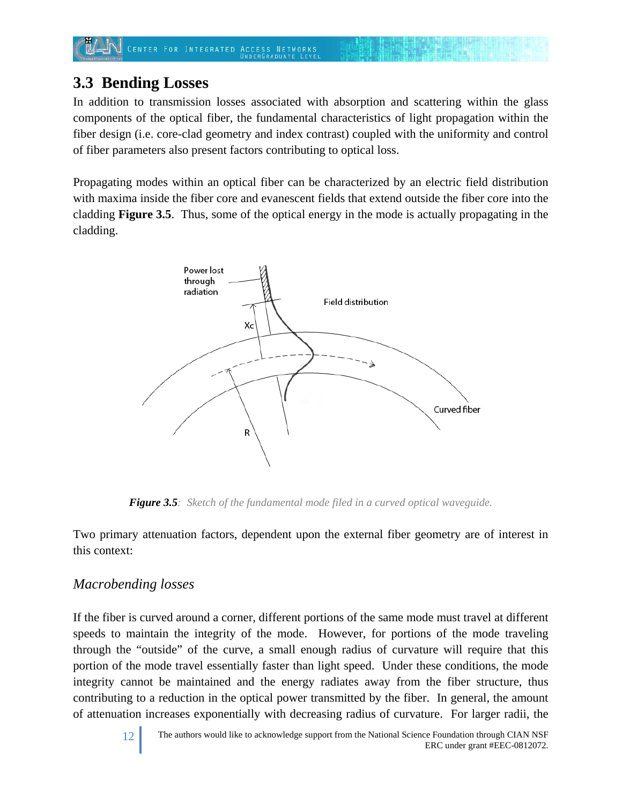# **3.3 Bending Losses**

In addition to transmission losses associated with absorption and scattering within the glass components of the optical fiber, the fundamental characteristics of light propagation within the fiber design (i.e. core-clad geometry and index contrast) coupled with the uniformity and control of fiber parameters also present factors contributing to optical loss.

Propagating modes within an optical fiber can be characterized by an electric field distribution with maxima inside the fiber core and evanescent fields that extend outside the fiber core into the cladding **Figure 3.5**. Thus, some of the optical energy in the mode is actually propagating in the cladding.



*Figure 3.5: Sketch of the fundamental mode filed in a curved optical waveguide.*

Two primary attenuation factors, dependent upon the external fiber geometry are of interest in this context:

## *Macrobending losses*

If the fiber is curved around a corner, different portions of the same mode must travel at different speeds to maintain the integrity of the mode. However, for portions of the mode traveling through the "outside" of the curve, a small enough radius of curvature will require that this portion of the mode travel essentially faster than light speed. Under these conditions, the mode integrity cannot be maintained and the energy radiates away from the fiber structure, thus contributing to a reduction in the optical power transmitted by the fiber. In general, the amount of attenuation increases exponentially with decreasing radius of curvature. For larger radii, the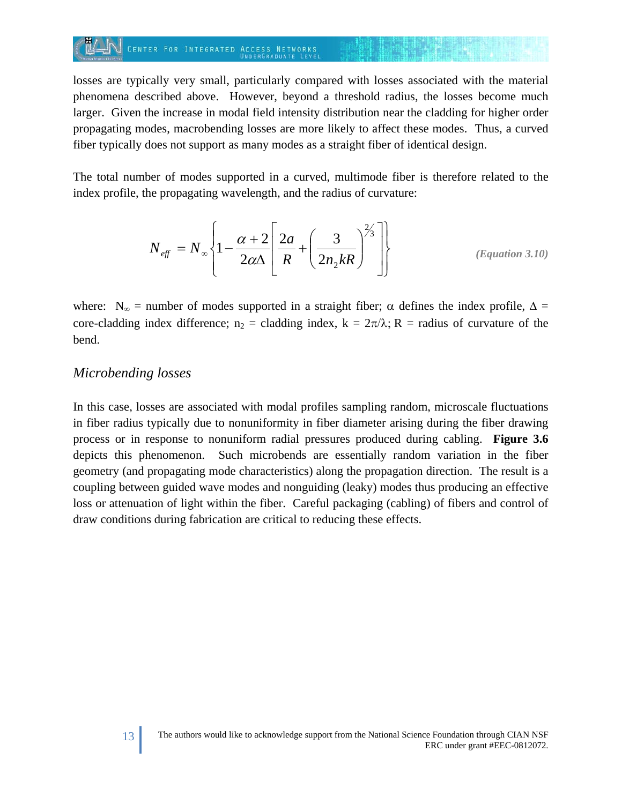## CENTER FOR INTEGRATED ACCESS NETWORKS

losses are typically very small, particularly compared with losses associated with the material phenomena described above. However, beyond a threshold radius, the losses become much larger. Given the increase in modal field intensity distribution near the cladding for higher order propagating modes, macrobending losses are more likely to affect these modes. Thus, a curved fiber typically does not support as many modes as a straight fiber of identical design.

The total number of modes supported in a curved, multimode fiber is therefore related to the index profile, the propagating wavelength, and the radius of curvature:

$$
N_{\text{eff}} = N_{\infty} \left\{ 1 - \frac{\alpha + 2}{2\alpha\Delta} \left[ \frac{2a}{R} + \left( \frac{3}{2n_{2}kR} \right)^{2/3} \right] \right\}
$$
 (Equation 3.10)

where:  $N_{\infty}$  = number of modes supported in a straight fiber;  $\alpha$  defines the index profile,  $\Delta$  = core-cladding index difference;  $n_2$  = cladding index,  $k = 2\pi/\lambda$ ; R = radius of curvature of the bend.

#### *Microbending losses*

In this case, losses are associated with modal profiles sampling random, microscale fluctuations in fiber radius typically due to nonuniformity in fiber diameter arising during the fiber drawing process or in response to nonuniform radial pressures produced during cabling. **Figure 3.6** depicts this phenomenon. Such microbends are essentially random variation in the fiber geometry (and propagating mode characteristics) along the propagation direction. The result is a coupling between guided wave modes and nonguiding (leaky) modes thus producing an effective loss or attenuation of light within the fiber. Careful packaging (cabling) of fibers and control of draw conditions during fabrication are critical to reducing these effects.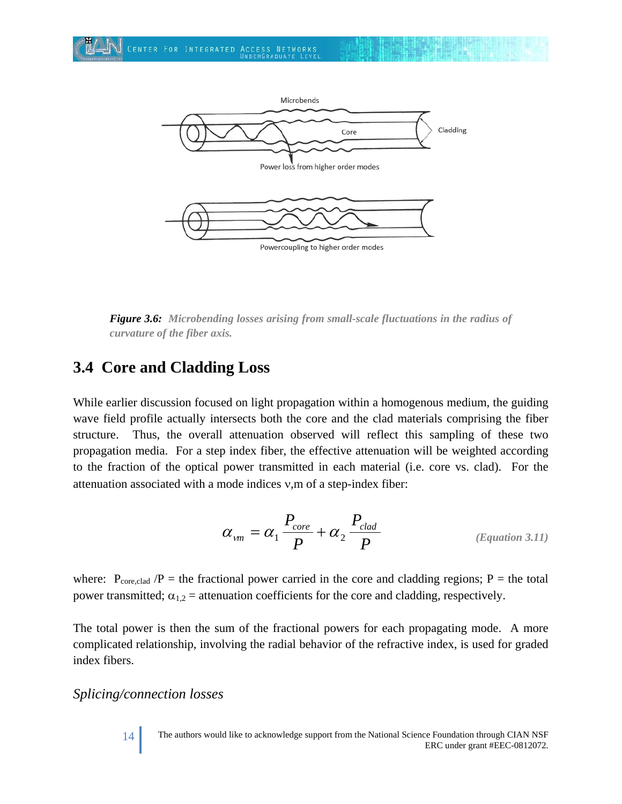

*Figure 3.6: Microbending losses arising from small-scale fluctuations in the radius of curvature of the fiber axis.*

# **3.4 Core and Cladding Loss**

While earlier discussion focused on light propagation within a homogenous medium, the guiding wave field profile actually intersects both the core and the clad materials comprising the fiber structure. Thus, the overall attenuation observed will reflect this sampling of these two propagation media. For a step index fiber, the effective attenuation will be weighted according to the fraction of the optical power transmitted in each material (i.e. core vs. clad). For the attenuation associated with a mode indices ν,m of a step-index fiber:

$$
\alpha_{\nu m} = \alpha_1 \frac{P_{core}}{P} + \alpha_2 \frac{P_{clad}}{P}
$$
 (Equation 3.11)

where:  $P_{\text{core,clad}}$  /P = the fractional power carried in the core and cladding regions; P = the total power transmitted;  $\alpha_{1,2}$  = attenuation coefficients for the core and cladding, respectively.

The total power is then the sum of the fractional powers for each propagating mode. A more complicated relationship, involving the radial behavior of the refractive index, is used for graded index fibers.

#### *Splicing/connection losses*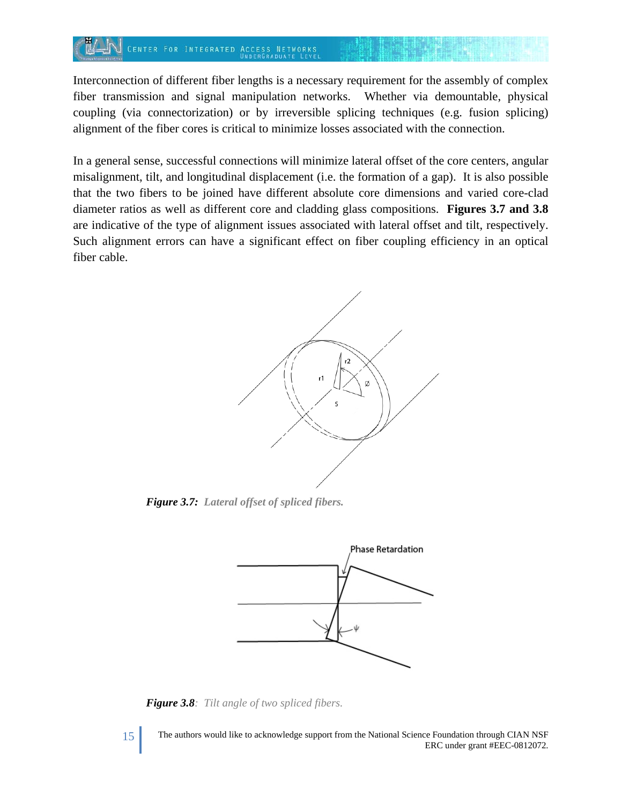Interconnection of different fiber lengths is a necessary requirement for the assembly of complex fiber transmission and signal manipulation networks. Whether via demountable, physical coupling (via connectorization) or by irreversible splicing techniques (e.g. fusion splicing) alignment of the fiber cores is critical to minimize losses associated with the connection.

In a general sense, successful connections will minimize lateral offset of the core centers, angular misalignment, tilt, and longitudinal displacement (i.e. the formation of a gap). It is also possible that the two fibers to be joined have different absolute core dimensions and varied core-clad diameter ratios as well as different core and cladding glass compositions. **Figures 3.7 and 3.8** are indicative of the type of alignment issues associated with lateral offset and tilt, respectively. Such alignment errors can have a significant effect on fiber coupling efficiency in an optical fiber cable.



*Figure 3.7: Lateral offset of spliced fibers.*



*Figure 3.8: Tilt angle of two spliced fibers.*

15 The authors would like to acknowledge support from the National Science Foundation through CIAN NSF ERC under grant #EEC-0812072.